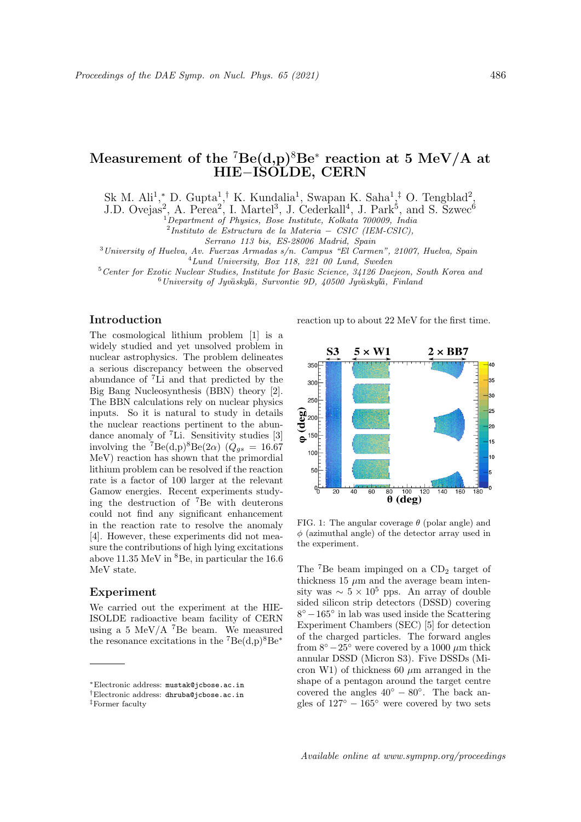# Measurement of the  $^7\text{Be}(\text{d},\text{p})^8\text{Be}^*$  reaction at 5 MeV/A at HIE−ISOLDE, CERN

Sk M. Ali<sup>1</sup>,\* D. Gupta<sup>1</sup>,<sup>†</sup> K. Kundalia<sup>1</sup>, Swapan K. Saha<sup>1</sup>,<sup>‡</sup> O. Tengblad<sup>2</sup>,

J.D. Ovejas<sup>2</sup>, A. Perea<sup>2</sup>, I. Martel<sup>3</sup>, J. Cederkall<sup>4</sup>, J. Park<sup>5</sup>, and S. Szwec<sup>6</sup>

 $1^{1}$ Department of Physics, Bose Institute, Kolkata 700009, India

2 Instituto de Estructura de la Materia − CSIC (IEM-CSIC),

Serrano 113 bis, ES-28006 Madrid, Spain

 $3$ University of Huelva, Av. Fuerzas Armadas s/n. Campus "El Carmen", 21007, Huelva, Spain

<sup>4</sup>Lund University, Box 118, 221 00 Lund, Sweden

<sup>5</sup>Center for Exotic Nuclear Studies, Institute for Basic Science, 34126 Daejeon, South Korea and  $6$ University of Jyväskylä, Survontie 9D, 40500 Jyväskylä, Finland

# Introduction

The cosmological lithium problem [1] is a widely studied and yet unsolved problem in nuclear astrophysics. The problem delineates a serious discrepancy between the observed abundance of <sup>7</sup>Li and that predicted by the Big Bang Nucleosynthesis (BBN) theory [2]. The BBN calculations rely on nuclear physics inputs. So it is natural to study in details the nuclear reactions pertinent to the abundance anomaly of <sup>7</sup>Li. Sensitivity studies [3] involving the  $^7Be(d,p)^8Be(2\alpha)$   $(Q_{gs} = 16.67$ MeV) reaction has shown that the primordial lithium problem can be resolved if the reaction rate is a factor of 100 larger at the relevant Gamow energies. Recent experiments studying the destruction of <sup>7</sup>Be with deuterons could not find any significant enhancement in the reaction rate to resolve the anomaly [4]. However, these experiments did not measure the contributions of high lying excitations above 11.35 MeV in  ${}^{8}$ Be, in particular the 16.6 MeV state.

# Experiment

We carried out the experiment at the HIE-ISOLDE radioactive beam facility of CERN using a 5 MeV/A  $^7$ Be beam. We measured the resonance excitations in the  $^7Be(d,p)^8Be^*$ 

reaction up to about 22 MeV for the first time.



FIG. 1: The angular coverage  $\theta$  (polar angle) and  $\phi$  (azimuthal angle) of the detector array used in the experiment.

The  $7Be$  beam impinged on a  $CD<sub>2</sub>$  target of thickness 15  $\mu$ m and the average beam intensity was  $\sim 5 \times 10^5$  pps. An array of double sided silicon strip detectors (DSSD) covering 8 ◦ −165◦ in lab was used inside the Scattering Experiment Chambers (SEC) [5] for detection of the charged particles. The forward angles from  $8°-25°$  were covered by a 1000  $\mu$ m thick annular DSSD (Micron S3). Five DSSDs (Micron W1) of thickness 60  $\mu$ m arranged in the shape of a pentagon around the target centre covered the angles  $40^{\circ} - 80^{\circ}$ . The back angles of  $127^\circ - 165^\circ$  were covered by two sets

<sup>∗</sup>Electronic address: mustak@jcbose.ac.in

<sup>†</sup>Electronic address: dhruba@jcbose.ac.in

<sup>‡</sup>Former faculty